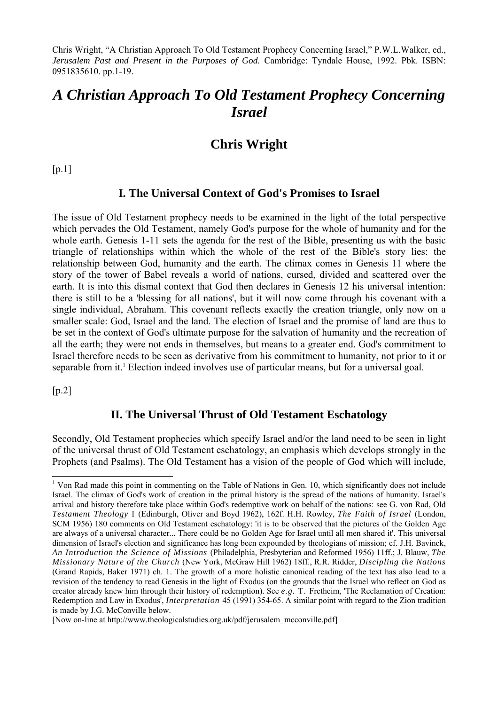# *A Christian Approach To Old Testament Prophecy Concerning Israel*

# **Chris Wright**

 $[p.1]$ 

## **I. The Universal Context of God's Promises to Israel**

The issue of Old Testament prophecy needs to be examined in the light of the total perspective which pervades the Old Testament, namely God's purpose for the whole of humanity and for the whole earth. Genesis 1-11 sets the agenda for the rest of the Bible, presenting us with the basic triangle of relationships within which the whole of the rest of the Bible's story lies: the relationship between God, humanity and the earth. The climax comes in Genesis 11 where the story of the tower of Babel reveals a world of nations, cursed, divided and scattered over the earth. It is into this dismal context that God then declares in Genesis 12 his universal intention: there is still to be a 'blessing for all nations', but it will now come through his covenant with a single individual, Abraham. This covenant reflects exactly the creation triangle, only now on a smaller scale: God, Israel and the land. The election of Israel and the promise of land are thus to be set in the context of God's ultimate purpose for the salvation of humanity and the recreation of all the earth; they were not ends in themselves, but means to a greater end. God's commitment to Israel therefore needs to be seen as derivative from his commitment to humanity, not prior to it or separable from it.<sup>1</sup> Election indeed involves use of particular means, but for a universal goal.

 $[p.2]$ 

l

## **II. The Universal Thrust of Old Testament Eschatology**

Secondly, Old Testament prophecies which specify Israel and/or the land need to be seen in light of the universal thrust of Old Testament eschatology, an emphasis which develops strongly in the Prophets (and Psalms). The Old Testament has a vision of the people of God which will include,

<sup>&</sup>lt;sup>1</sup> Von Rad made this point in commenting on the Table of Nations in Gen. 10, which significantly does not include Israel. The climax of God's work of creation in the primal history is the spread of the nations of humanity. Israel's arrival and history therefore take place within God's redemptive work on behalf of the nations: see G. von Rad, Old *Testament Theology* I (Edinburgh, Oliver and Boyd 1962), 162f. H.H. Rowley, *The Faith of Israel* (London, SCM 1956) 180 comments on Old Testament eschatology: 'it is to be observed that the pictures of the Golden Age are always of a universal character... There could be no Golden Age for Israel until all men shared it'. This universal dimension of Israel's election and significance has long been expounded by theologians of mission; cf. J.H. Bavinck, *An Introduction the Science of Missions* (Philadelphia, Presbyterian and Reformed 1956) 11ff.; J. Blauw, *The Missionary Nature of the Church* (New York, McGraw Hill 1962) 18ff., R.R. Ridder, *Discipling the Nations* (Grand Rapids, Baker 1971) ch. 1. The growth of a more holistic canonical reading of the text has also lead to a revision of the tendency to read Genesis in the light of Exodus (on the grounds that the Israel who reflect on God as creator already knew him through their history of redemption). See *e.g.* T. Fretheim, 'The Reclamation of Creation: Redemption and Law in Exodus', *Interpretation* 45 (1991) 354-65. A similar point with regard to the Zion tradition is made by J.G. McConville below.

<sup>[</sup>Now on-line at [http://www.theologicalstudies.org.uk/pdf/jerusalem\\_mcconville.pdf\]](http://www.theologicalstudies.org.uk/pdf/jerusalem_mcconville.pdf)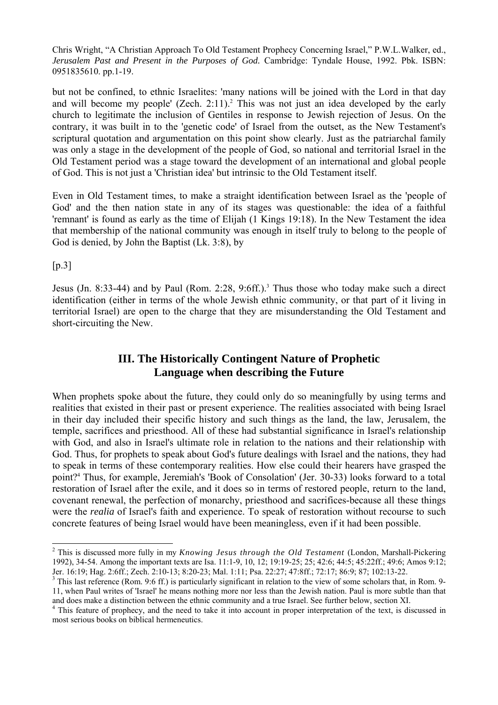but not be confined, to ethnic Israelites: 'many nations will be joined with the Lord in that day and will become my people' (Zech. 2:11).<sup>2</sup> This was not just an idea developed by the early church to legitimate the inclusion of Gentiles in response to Jewish rejection of Jesus. On the contrary, it was built in to the 'genetic code' of Israel from the outset, as the New Testament's scriptural quotation and argumentation on this point show clearly. Just as the patriarchal family was only a stage in the development of the people of God, so national and territorial Israel in the Old Testament period was a stage toward the development of an international and global people of God. This is not just a 'Christian idea' but intrinsic to the Old Testament itself.

Even in Old Testament times, to make a straight identification between Israel as the 'people of God' and the then nation state in any of its stages was questionable: the idea of a faithful 'remnant' is found as early as the time of Elijah (1 Kings 19:18). In the New Testament the idea that membership of the national community was enough in itself truly to belong to the people of God is denied, by John the Baptist (Lk. 3:8), by

 $[p.3]$ 

l

Jesus (Jn. 8:33-44) and by Paul (Rom. 2:28, 9:6ff.).<sup>3</sup> Thus those who today make such a direct identification (either in terms of the whole Jewish ethnic community, or that part of it living in territorial Israel) are open to the charge that they are misunderstanding the Old Testament and short-circuiting the New.

# **III. The Historically Contingent Nature of Prophetic Language when describing the Future**

When prophets spoke about the future, they could only do so meaningfully by using terms and realities that existed in their past or present experience. The realities associated with being Israel in their day included their specific history and such things as the land, the law, Jerusalem, the temple, sacrifices and priesthood. All of these had substantial significance in Israel's relationship with God, and also in Israel's ultimate role in relation to the nations and their relationship with God. Thus, for prophets to speak about God's future dealings with Israel and the nations, they had to speak in terms of these contemporary realities. How else could their hearers have grasped the point?4 Thus, for example, Jeremiah's 'Book of Consolation' (Jer. 30-33) looks forward to a total restoration of Israel after the exile, and it does so in terms of restored people, return to the land, covenant renewal, the perfection of monarchy, priesthood and sacrifices-because all these things were the *realia* of Israel's faith and experience. To speak of restoration without recourse to such concrete features of being Israel would have been meaningless, even if it had been possible.

<sup>&</sup>lt;sup>2</sup> This is discussed more fully in my *Knowing Jesus through the Old Testament* (London, Marshall-Pickering 1992), 34-54. Among the important texts are Isa. 11:1-9, 10, 12; 19:19-25; 25; 42:6; 44:5; 45:22ff.; 49:6; Amos 9:12; Jer. 16:19; Hag. 2:6ff.; Zech. 2:10-13; 8:20-23; Mal. 1:11; Psa. 22:27; 47:8ff.; 72:17; 86:9; 87; 102:13-22.

 $3$  This last reference (Rom. 9:6 ff.) is particularly significant in relation to the view of some scholars that, in Rom. 9-11, when Paul writes of 'Israel' he means nothing more nor less than the Jewish nation. Paul is more subtle than that and does make a distinction between the ethnic community and a true Israel. See further below, section XI.

<sup>&</sup>lt;sup>4</sup> This feature of prophecy, and the need to take it into account in proper interpretation of the text, is discussed in most serious books on biblical hermeneutics.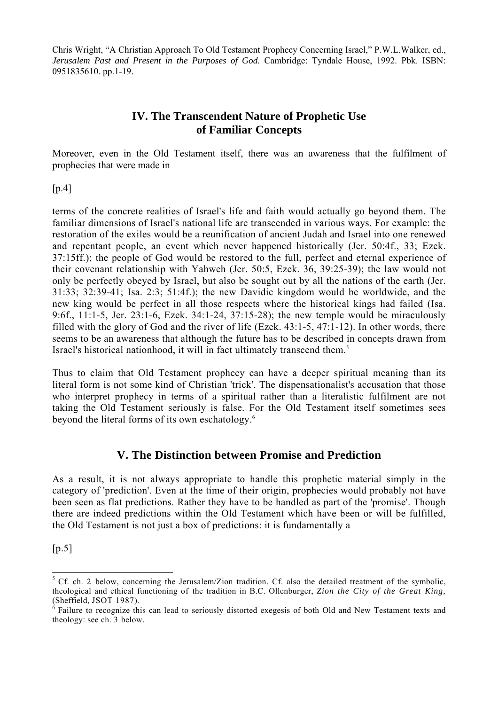## **IV. The Transcendent Nature of Prophetic Use of Familiar Concepts**

Moreover, even in the Old Testament itself, there was an awareness that the fulfilment of prophecies that were made in

 $[p.4]$ 

terms of the concrete realities of Israel's life and faith would actually go beyond them. The familiar dimensions of Israel's national life are transcended in various ways. For example: the restoration of the exiles would be a reunification of ancient Judah and Israel into one renewed and repentant people, an event which never happened historically (Jer. 50:4f., 33; Ezek. 37:15ff.); the people of God would be restored to the full, perfect and eternal experience of their covenant relationship with Yahweh (Jer. 50:5, Ezek. 36, 39:25-39); the law would not only be perfectly obeyed by Israel, but also be sought out by all the nations of the earth (Jer. 31:33; 32:39-41; Isa. 2:3; 51:4f.); the new Davidic kingdom would be worldwide, and the new king would be perfect in all those respects where the historical kings had failed (Isa. 9:6f., 11:1-5, Jer. 23:1-6, Ezek. 34:1-24, 37:15-28); the new temple would be miraculously filled with the glory of God and the river of life (Ezek. 43:1-5, 47:1-12). In other words, there seems to be an awareness that although the future has to be described in concepts drawn from Israel's historical nationhood, it will in fact ultimately transcend them.<sup>5</sup>

Thus to claim that Old Testament prophecy can have a deeper spiritual meaning than its literal form is not some kind of Christian 'trick'. The dispensationalist's accusation that those who interpret prophecy in terms of a spiritual rather than a literalistic fulfilment are not taking the Old Testament seriously is false. For the Old Testament itself sometimes sees beyond the literal forms of its own eschatology.<sup>6</sup>

## **V. The Distinction between Promise and Prediction**

As a result, it is not always appropriate to handle this prophetic material simply in the category of 'prediction'. Even at the time of their origin, prophecies would probably not have been seen as flat predictions. Rather they have to be handled as part of the 'promise'. Though there are indeed predictions within the Old Testament which have been or will be fulfilled, the Old Testament is not just a box of predictions: it is fundamentally a

 $[p.5]$ 

l

 $5$  Cf. ch. 2 below, concerning the Jerusalem/Zion tradition. Cf. also the detailed treatment of the symbolic, theological and ethical functioning of the tradition in B.C. Ollenburger, *Zion the City of the Great King,* (Sheffield, JSOT 1987).

<sup>&</sup>lt;sup>6</sup> Failure to recognize this can lead to seriously distorted exegesis of both Old and New Testament texts and theology: see ch. 3 below.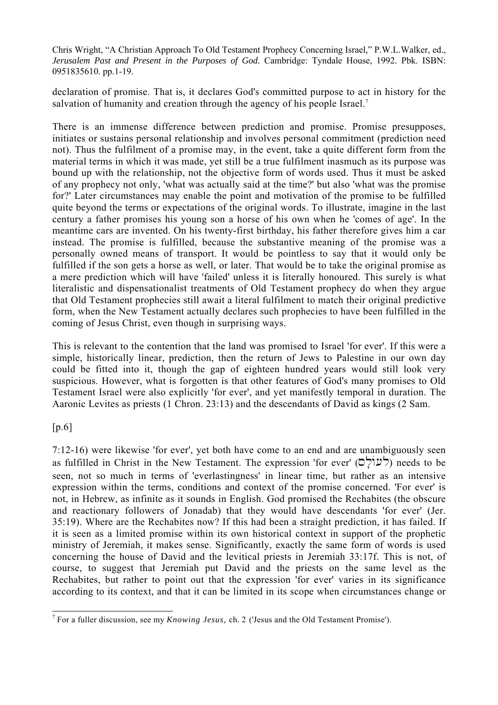declaration of promise. That is, it declares God's committed purpose to act in history for the salvation of humanity and creation through the agency of his people Israel.<sup>7</sup>

There is an immense difference between prediction and promise. Promise presupposes, initiates or sustains personal relationship and involves personal commitment (prediction need not). Thus the fulfilment of a promise may, in the event, take a quite different form from the material terms in which it was made, yet still be a true fulfilment inasmuch as its purpose was bound up with the relationship, not the objective form of words used. Thus it must be asked of any prophecy not only, 'what was actually said at the time?' but also 'what was the promise for?' Later circumstances may enable the point and motivation of the promise to be fulfilled quite beyond the terms or expectations of the original words. To illustrate, imagine in the last century a father promises his young son a horse of his own when he 'comes of age'. In the meantime cars are invented. On his twenty-first birthday, his father therefore gives him a car instead. The promise is fulfilled, because the substantive meaning of the promise was a personally owned means of transport. It would be pointless to say that it would only be fulfilled if the son gets a horse as well, or later. That would be to take the original promise as a mere prediction which will have 'failed' unless it is literally honoured. This surely is what literalistic and dispensationalist treatments of Old Testament prophecy do when they argue that Old Testament prophecies still await a literal fulfilment to match their original predictive form, when the New Testament actually declares such prophecies to have been fulfilled in the coming of Jesus Christ, even though in surprising ways.

This is relevant to the contention that the land was promised to Israel 'for ever'. If this were a simple, historically linear, prediction, then the return of Jews to Palestine in our own day could be fitted into it, though the gap of eighteen hundred years would still look very suspicious. However, what is forgotten is that other features of God's many promises to Old Testament Israel were also explicitly 'for ever', and yet manifestly temporal in duration. The Aaronic Levites as priests (1 Chron. 23:13) and the descendants of David as kings (2 Sam.

 $[p.6]$ 

7:12-16) were likewise 'for ever', yet both have come to an end and are unambiguously seen as fulfilled in Christ in the New Testament. The expression 'for ever' ( $\sigma$ לעולס) needs to be seen, not so much in terms of 'everlastingness' in linear time, but rather as an intensive expression within the terms, conditions and context of the promise concerned. 'For ever' is not, in Hebrew, as infinite as it sounds in English. God promised the Rechabites (the obscure and reactionary followers of Jonadab) that they would have descendants 'for ever' (Jer. 35:19). Where are the Rechabites now? If this had been a straight prediction, it has failed. If it is seen as a limited promise within its own historical context in support of the prophetic ministry of Jeremiah, it makes sense. Significantly, exactly the same form of words is used concerning the house of David and the levitical priests in Jeremiah 33:17f. This is not, of course, to suggest that Jeremiah put David and the priests on the same level as the Rechabites, but rather to point out that the expression 'for ever' varies in its significance according to its context, and that it can be limited in its scope when circumstances change or

l 7 For a fuller discussion, see my *Knowing Jesus,* ch. 2 ('Jesus and the Old Testament Promise').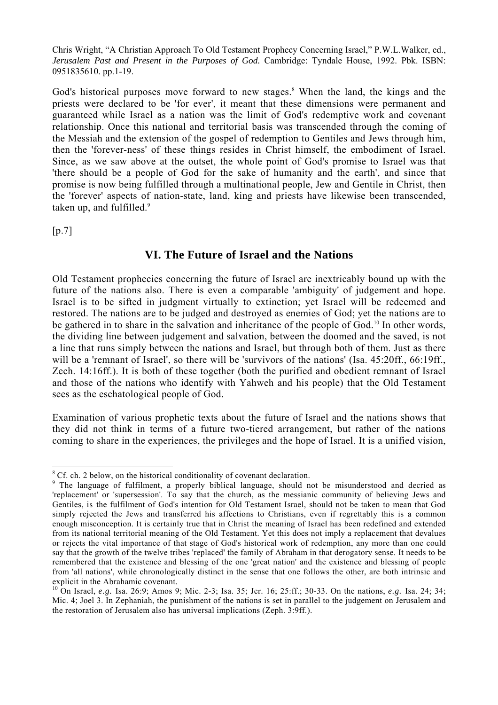God's historical purposes move forward to new stages.<sup>8</sup> When the land, the kings and the priests were declared to be 'for ever', it meant that these dimensions were permanent and guaranteed while Israel as a nation was the limit of God's redemptive work and covenant relationship. Once this national and territorial basis was transcended through the coming of the Messiah and the extension of the gospel of redemption to Gentiles and Jews through him, then the 'forever-ness' of these things resides in Christ himself, the embodiment of Israel. Since, as we saw above at the outset, the whole point of God's promise to Israel was that 'there should be a people of God for the sake of humanity and the earth', and since that promise is now being fulfilled through a multinational people, Jew and Gentile in Christ, then the 'forever' aspects of nation-state, land, king and priests have likewise been transcended, taken up, and fulfilled.<sup>9</sup>

[p.7]

l

## **VI. The Future of Israel and the Nations**

Old Testament prophecies concerning the future of Israel are inextricably bound up with the future of the nations also. There is even a comparable 'ambiguity' of judgement and hope. Israel is to be sifted in judgment virtually to extinction; yet Israel will be redeemed and restored. The nations are to be judged and destroyed as enemies of God; yet the nations are to be gathered in to share in the salvation and inheritance of the people of God.<sup>10</sup> In other words, the dividing line between judgement and salvation, between the doomed and the saved, is not a line that runs simply between the nations and Israel, but through both of them. Just as there will be a 'remnant of Israel', so there will be 'survivors of the nations' (Isa. 45:20ff., 66:19ff., Zech. 14:16ff.). It is both of these together (both the purified and obedient remnant of Israel and those of the nations who identify with Yahweh and his people) that the Old Testament sees as the eschatological people of God.

Examination of various prophetic texts about the future of Israel and the nations shows that they did not think in terms of a future two-tiered arrangement, but rather of the nations coming to share in the experiences, the privileges and the hope of Israel. It is a unified vision,

<sup>&</sup>lt;sup>8</sup> Cf. ch. 2 below, on the historical conditionality of covenant declaration.

<sup>&</sup>lt;sup>9</sup> The language of fulfilment, a properly biblical language, should not be misunderstood and decried as 'replacement' or 'supersession'. To say that the church, as the messianic community of believing Jews and Gentiles, is the fulfilment of God's intention for Old Testament Israel, should not be taken to mean that God simply rejected the Jews and transferred his affections to Christians, even if regrettably this is a common enough misconception. It is certainly true that in Christ the meaning of Israel has been redefined and extended from its national territorial meaning of the Old Testament. Yet this does not imply a replacement that devalues or rejects the vital importance of that stage of God's historical work of redemption, any more than one could say that the growth of the twelve tribes 'replaced' the family of Abraham in that derogatory sense. It needs to be remembered that the existence and blessing of the one 'great nation' and the existence and blessing of people from 'all nations', while chronologically distinct in the sense that one follows the other, are both intrinsic and explicit in the Abrahamic covenant.

<sup>10</sup> On Israel, *e.g.* Isa. 26:9; Amos 9; Mic. 2-3; Isa. 35; Jer. 16; 25:ff.; 30-33. On the nations, *e.g.* Isa. 24; 34; Mic. 4; Joel 3. In Zephaniah, the punishment of the nations is set in parallel to the judgement on Jerusalem and the restoration of Jerusalem also has universal implications (Zeph. 3:9ff.).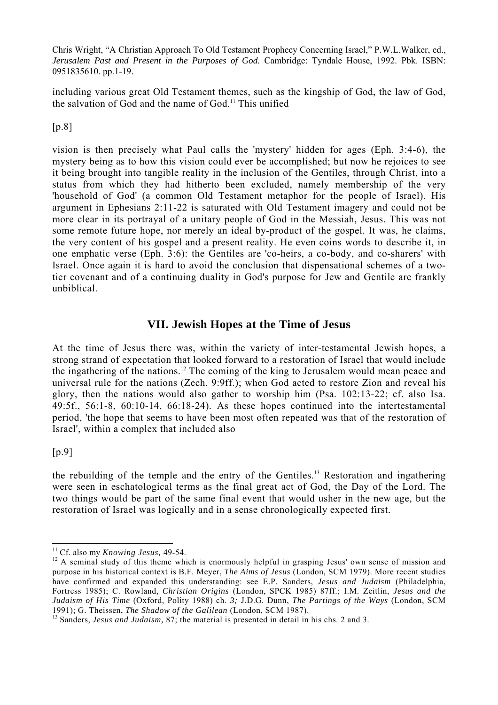including various great Old Testament themes, such as the kingship of God, the law of God, the salvation of God and the name of God.<sup>11</sup> This unified

[p.8]

vision is then precisely what Paul calls the 'mystery' hidden for ages (Eph. 3:4-6), the mystery being as to how this vision could ever be accomplished; but now he rejoices to see it being brought into tangible reality in the inclusion of the Gentiles, through Christ, into a status from which they had hitherto been excluded, namely membership of the very 'household of God' (a common Old Testament metaphor for the people of Israel). His argument in Ephesians 2:11-22 is saturated with Old Testament imagery and could not be more clear in its portrayal of a unitary people of God in the Messiah, Jesus. This was not some remote future hope, nor merely an ideal by-product of the gospel. It was, he claims, the very content of his gospel and a present reality. He even coins words to describe it, in one emphatic verse (Eph. 3:6): the Gentiles are 'co-heirs, a co-body, and co-sharers' with Israel. Once again it is hard to avoid the conclusion that dispensational schemes of a twotier covenant and of a continuing duality in God's purpose for Jew and Gentile are frankly unbiblical.

# **VII. Jewish Hopes at the Time of Jesus**

At the time of Jesus there was, within the variety of inter-testamental Jewish hopes, a strong strand of expectation that looked forward to a restoration of Israel that would include the ingathering of the nations.12 The coming of the king to Jerusalem would mean peace and universal rule for the nations (Zech. 9:9ff.); when God acted to restore Zion and reveal his glory, then the nations would also gather to worship him (Psa. 102:13-22; cf. also Isa. 49:5f., 56:1-8, 60:10-14, 66:18-24). As these hopes continued into the intertestamental period, 'the hope that seems to have been most often repeated was that of the restoration of Israel', within a complex that included also

[p.9]

the rebuilding of the temple and the entry of the Gentiles.13 Restoration and ingathering were seen in eschatological terms as the final great act of God, the Day of the Lord. The two things would be part of the same final event that would usher in the new age, but the restoration of Israel was logically and in a sense chronologically expected first.

<sup>&</sup>lt;sup>11</sup> Cf. also my *Knowing Jesus*, 49-54.

<sup>&</sup>lt;sup>12</sup> A seminal study of this theme which is enormously helpful in grasping Jesus' own sense of mission and purpose in his historical context is B.F. Meyer, *The Aims of Jesus* (London, SCM 1979). More recent studies have confirmed and expanded this understanding: see E.P. Sanders, *Jesus and Judaism* (Philadelphia, Fortress 1985); C. Rowland, *Christian Origins* (London, SPCK 1985) 87ff.; I.M. Zeitlin, *Jesus and the Judaism of His Time* (Oxford, Polity 1988) ch. *3;* J.D.G. Dunn, *The Partings of the Ways* (London, SCM

<sup>1991);</sup> G. Theissen, *The Shadow of the Galilean* (London, SCM 1987). 13 Sanders, *Jesus and Judaism,* 87; the material is presented in detail in his chs. 2 and 3.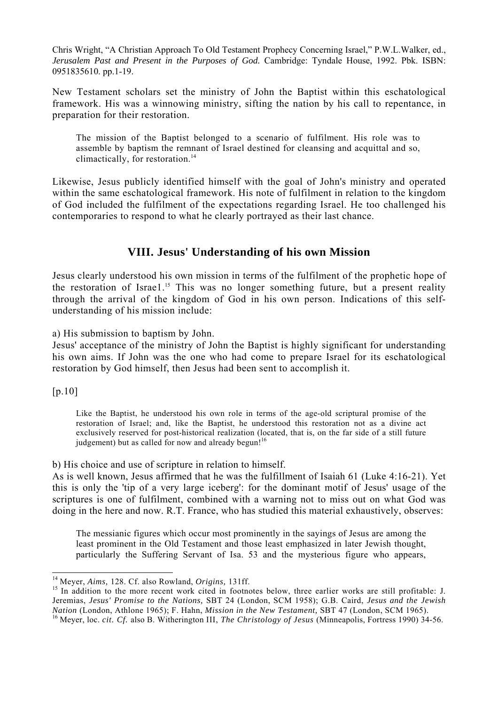New Testament scholars set the ministry of John the Baptist within this eschatological framework. His was a winnowing ministry, sifting the nation by his call to repentance, in preparation for their restoration.

The mission of the Baptist belonged to a scenario of fulfilment. His role was to assemble by baptism the remnant of Israel destined for cleansing and acquittal and so, climactically, for restoration.<sup>14</sup>

Likewise, Jesus publicly identified himself with the goal of John's ministry and operated within the same eschatological framework. His note of fulfilment in relation to the kingdom of God included the fulfilment of the expectations regarding Israel. He too challenged his contemporaries to respond to what he clearly portrayed as their last chance.

## **VIII. Jesus' Understanding of his own Mission**

Jesus clearly understood his own mission in terms of the fulfilment of the prophetic hope of the restoration of Israe1.<sup>15</sup> This was no longer something future, but a present reality through the arrival of the kingdom of God in his own person. Indications of this selfunderstanding of his mission include:

a) His submission to baptism by John.

Jesus' acceptance of the ministry of John the Baptist is highly significant for understanding his own aims. If John was the one who had come to prepare Israel for its eschatological restoration by God himself, then Jesus had been sent to accomplish it.

[p.10]

Like the Baptist, he understood his own role in terms of the age-old scriptural promise of the restoration of Israel; and, like the Baptist, he understood this restoration not as a divine act exclusively reserved for post-historical realization (located, that is, on the far side of a still future judgement) but as called for now and already begun!<sup>16</sup>

b) His choice and use of scripture in relation to himself.

As is well known, Jesus affirmed that he was the fulfillment of Isaiah 61 (Luke 4:16-21). Yet this is only the 'tip of a very large iceberg': for the dominant motif of Jesus' usage of the scriptures is one of fulfilment, combined with a warning not to miss out on what God was doing in the here and now. R.T. France, who has studied this material exhaustively, observes:

The messianic figures which occur most prominently in the sayings of Jesus are among the least prominent in the Old Testament and those least emphasized in later Jewish thought, particularly the Suffering Servant of Isa. 53 and the mysterious figure who appears,

<sup>&</sup>lt;sup>14</sup> Meyer, Aims, 128. Cf. also Rowland, Origins, 131ff.

<sup>&</sup>lt;sup>15</sup> In addition to the more recent work cited in footnotes below, three earlier works are still profitable: J. Jeremias, *Jesus' Promise to the Nations,* SBT 24 (London, SCM 1958); G.B. Caird, *Jesus and the Jewish* Nation (London, Athlone 1965); F. Hahn, Mission in the New Testament, SBT 47 (London, SCM 1965).<br><sup>16</sup> Mever, loc. cit. Cf. also B. Witherington III, The Christology of Jesus (Minneapolis, Fortress 1990) 34-56.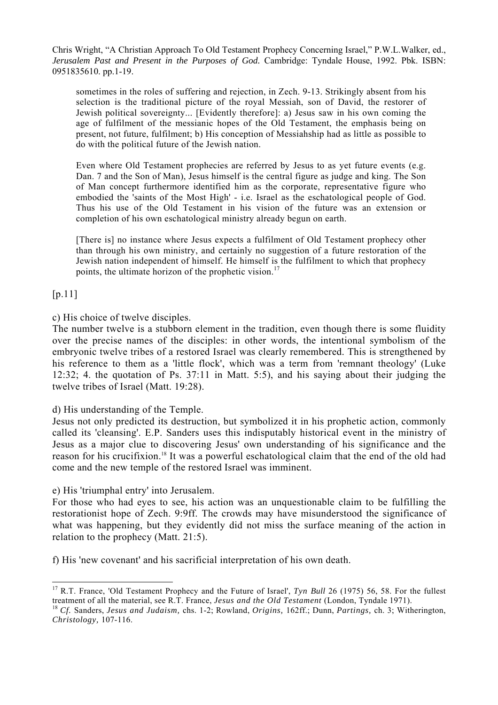sometimes in the roles of suffering and rejection, in Zech. 9-13. Strikingly absent from his selection is the traditional picture of the royal Messiah, son of David, the restorer of Jewish political sovereignty... [Evidently therefore]: a) Jesus saw in his own coming the age of fulfilment of the messianic hopes of the Old Testament, the emphasis being on present, not future, fulfilment; b) His conception of Messiahship had as little as possible to do with the political future of the Jewish nation.

Even where Old Testament prophecies are referred by Jesus to as yet future events (e.g. Dan. 7 and the Son of Man), Jesus himself is the central figure as judge and king. The Son of Man concept furthermore identified him as the corporate, representative figure who embodied the 'saints of the Most High' - i.e. Israel as the eschatological people of God. Thus his use of the Old Testament in his vision of the future was an extension or completion of his own eschatological ministry already begun on earth.

[There is] no instance where Jesus expects a fulfilment of Old Testament prophecy other than through his own ministry, and certainly no suggestion of a future restoration of the Jewish nation independent of himself. He himself is the fulfilment to which that prophecy points, the ultimate horizon of the prophetic vision.<sup>17</sup>

## $[p.11]$

l

c) His choice of twelve disciples.

The number twelve is a stubborn element in the tradition, even though there is some fluidity over the precise names of the disciples: in other words, the intentional symbolism of the embryonic twelve tribes of a restored Israel was clearly remembered. This is strengthened by his reference to them as a 'little flock', which was a term from 'remnant theology' (Luke 12:32; 4. the quotation of Ps. 37:11 in Matt. 5:5), and his saying about their judging the twelve tribes of Israel (Matt. 19:28).

#### d) His understanding of the Temple.

Jesus not only predicted its destruction, but symbolized it in his prophetic action, commonly called its 'cleansing'. E.P. Sanders uses this indisputably historical event in the ministry of Jesus as a major clue to discovering Jesus' own understanding of his significance and the reason for his crucifixion.<sup>18</sup> It was a powerful eschatological claim that the end of the old had come and the new temple of the restored Israel was imminent.

e) His 'triumphal entry' into Jerusalem.

For those who had eyes to see, his action was an unquestionable claim to be fulfilling the restorationist hope of Zech. 9:9ff. The crowds may have misunderstood the significance of what was happening, but they evidently did not miss the surface meaning of the action in relation to the prophecy (Matt. 21:5).

f) His 'new covenant' and his sacrificial interpretation of his own death.

<sup>&</sup>lt;sup>17</sup> R.T. France, 'Old Testament Prophecy and the Future of Israel', *Tyn Bull* 26 (1975) 56, 58. For the fullest treatment of all the material, see R.T. France, *Jesus and the Old Testament* (London, Tyndale 1971).

<sup>&</sup>lt;sup>18</sup> Cf. Sanders, Jesus and Judaism, chs. 1-2; Rowland, Origins, 162ff.; Dunn, Partings, ch. 3; Witherington, *Christology,* 107-116.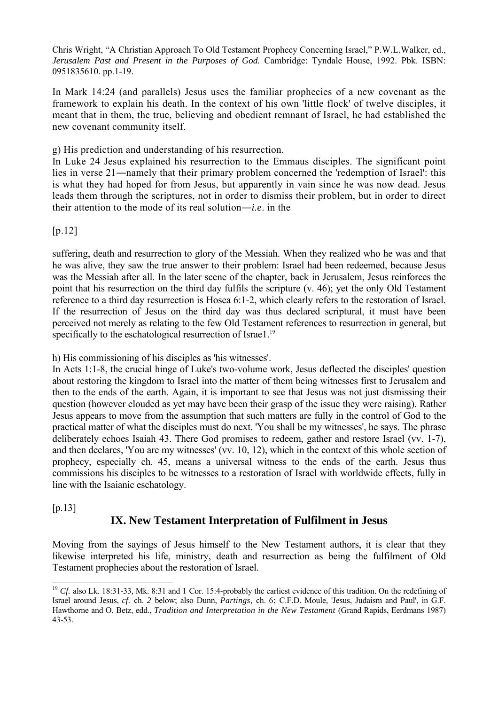In Mark 14:24 (and parallels) Jesus uses the familiar prophecies of a new covenant as the framework to explain his death. In the context of his own 'little flock' of twelve disciples, it meant that in them, the true, believing and obedient remnant of Israel, he had established the new covenant community itself.

g) His prediction and understanding of his resurrection.

In Luke 24 Jesus explained his resurrection to the Emmaus disciples. The significant point lies in verse 21―namely that their primary problem concerned the 'redemption of Israel': this is what they had hoped for from Jesus, but apparently in vain since he was now dead. Jesus leads them through the scriptures, not in order to dismiss their problem, but in order to direct their attention to the mode of its real solution―*i.e*. in the

[p.12]

suffering, death and resurrection to glory of the Messiah. When they realized who he was and that he was alive, they saw the true answer to their problem: Israel had been redeemed, because Jesus was the Messiah after all. In the later scene of the chapter, back in Jerusalem, Jesus reinforces the point that his resurrection on the third day fulfils the scripture (v. 46); yet the only Old Testament reference to a third day resurrection is Hosea 6:1-2, which clearly refers to the restoration of Israel. If the resurrection of Jesus on the third day was thus declared scriptural, it must have been perceived not merely as relating to the few Old Testament references to resurrection in general, but specifically to the eschatological resurrection of Israe1.<sup>19</sup>

h) His commissioning of his disciples as 'his witnesses'.

In Acts 1:1-8, the crucial hinge of Luke's two-volume work, Jesus deflected the disciples' question about restoring the kingdom to Israel into the matter of them being witnesses first to Jerusalem and then to the ends of the earth. Again, it is important to see that Jesus was not just dismissing their question (however clouded as yet may have been their grasp of the issue they were raising). Rather Jesus appears to move from the assumption that such matters are fully in the control of God to the practical matter of what the disciples must do next. 'You shall be my witnesses', he says. The phrase deliberately echoes Isaiah 43. There God promises to redeem, gather and restore Israel (vv. 1-7), and then declares, 'You are my witnesses' (vv. 10, 12), which in the context of this whole section of prophecy, especially ch. 45, means a universal witness to the ends of the earth. Jesus thus commissions his disciples to be witnesses to a restoration of Israel with worldwide effects, fully in line with the Isaianic eschatology.

 $[p.13]$ 

l

# **IX. New Testament Interpretation of Fulfilment in Jesus**

Moving from the sayings of Jesus himself to the New Testament authors, it is clear that they likewise interpreted his life, ministry, death and resurrection as being the fulfilment of Old Testament prophecies about the restoration of Israel.

<sup>&</sup>lt;sup>19</sup> *Cf.* also Lk. 18:31-33, Mk. 8:31 and 1 Cor. 15:4-probably the earliest evidence of this tradition. On the redefining of Israel around Jesus, *cf.* ch. *2* below; also Dunn, *Partings,* ch. 6; C.F.D. Moule, 'Jesus, Judaism and Paul', in G.F. Hawthorne and O. Betz, edd., *Tradition and Interpretation in the New Testament* (Grand Rapids, Eerdmans 1987) 43-53.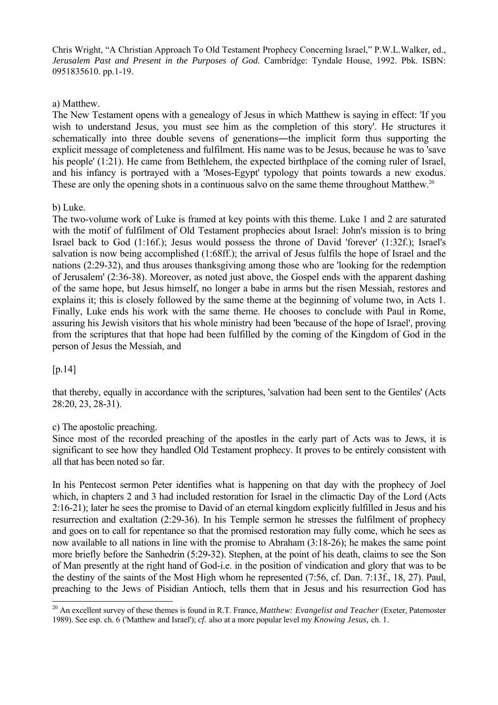#### a) Matthew.

The New Testament opens with a genealogy of Jesus in which Matthew is saying in effect: 'If you wish to understand Jesus, you must see him as the completion of this story'. He structures it schematically into three double sevens of generations―the implicit form thus supporting the explicit message of completeness and fulfilment. His name was to be Jesus, because he was to 'save his people' (1:21). He came from Bethlehem, the expected birthplace of the coming ruler of Israel, and his infancy is portrayed with a 'Moses-Egypt' typology that points towards a new exodus. These are only the opening shots in a continuous salvo on the same theme throughout Matthew.<sup>20</sup>

#### b) Luke.

The two-volume work of Luke is framed at key points with this theme. Luke 1 and 2 are saturated with the motif of fulfilment of Old Testament prophecies about Israel: John's mission is to bring Israel back to God (1:16f.); Jesus would possess the throne of David 'forever' (1:32f.); Israel's salvation is now being accomplished (1:68ff.); the arrival of Jesus fulfils the hope of Israel and the nations (2:29-32), and thus arouses thanksgiving among those who are 'looking for the redemption of Jerusalem' (2:36-38). Moreover, as noted just above, the Gospel ends with the apparent dashing of the same hope, but Jesus himself, no longer a babe in arms but the risen Messiah, restores and explains it; this is closely followed by the same theme at the beginning of volume two, in Acts 1. Finally, Luke ends his work with the same theme. He chooses to conclude with Paul in Rome, assuring his Jewish visitors that his whole ministry had been 'because of the hope of Israel', proving from the scriptures that that hope had been fulfilled by the coming of the Kingdom of God in the person of Jesus the Messiah, and

## [p.14]

l

that thereby, equally in accordance with the scriptures, 'salvation had been sent to the Gentiles' (Acts 28:20, 23, 28-31).

#### c) The apostolic preaching.

Since most of the recorded preaching of the apostles in the early part of Acts was to Jews, it is significant to see how they handled Old Testament prophecy. It proves to be entirely consistent with all that has been noted so far.

In his Pentecost sermon Peter identifies what is happening on that day with the prophecy of Joel which, in chapters 2 and 3 had included restoration for Israel in the climactic Day of the Lord (Acts 2:16-21); later he sees the promise to David of an eternal kingdom explicitly fulfilled in Jesus and his resurrection and exaltation (2:29-36). In his Temple sermon he stresses the fulfilment of prophecy and goes on to call for repentance so that the promised restoration may fully come, which he sees as now available to all nations in line with the promise to Abraham (3:18-26); he makes the same point more briefly before the Sanhedrin (5:29-32). Stephen, at the point of his death, claims to see the Son of Man presently at the right hand of God-i.e. in the position of vindication and glory that was to be the destiny of the saints of the Most High whom he represented (7:56, cf. Dan. 7:13f., 18, 27). Paul, preaching to the Jews of Pisidian Antioch, tells them that in Jesus and his resurrection God has

<sup>&</sup>lt;sup>20</sup> An excellent survey of these themes is found in R.T. France, *Matthew: Evangelist and Teacher* (Exeter, Paternoster 1989). See esp. ch. 6 ('Matthew and Israel'); *cf.* also at a more popular level my *Knowing Jesus,* ch. 1.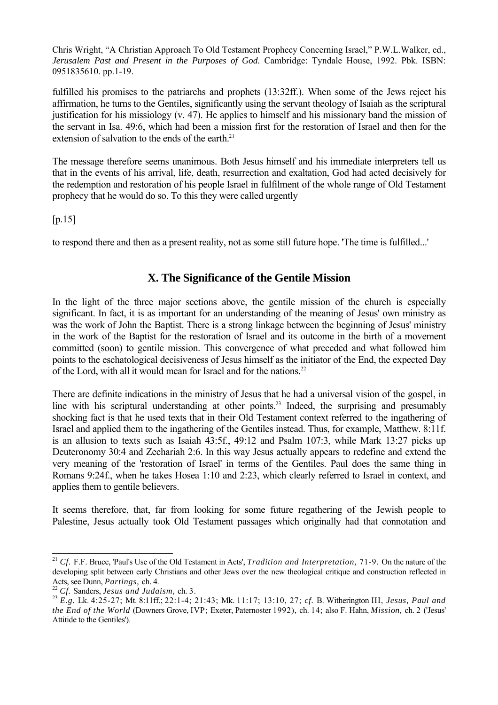fulfilled his promises to the patriarchs and prophets (13:32ff.). When some of the Jews reject his affirmation, he turns to the Gentiles, significantly using the servant theology of Isaiah as the scriptural justification for his missiology (y. 47). He applies to himself and his missionary band the mission of the servant in Isa. 49:6, which had been a mission first for the restoration of Israel and then for the extension of salvation to the ends of the earth.<sup>21</sup>

The message therefore seems unanimous. Both Jesus himself and his immediate interpreters tell us that in the events of his arrival, life, death, resurrection and exaltation, God had acted decisively for the redemption and restoration of his people Israel in fulfilment of the whole range of Old Testament prophecy that he would do so. To this they were called urgently

 $[p.15]$ 

to respond there and then as a present reality, not as some still future hope. 'The time is fulfilled...'

## **X. The Significance of the Gentile Mission**

In the light of the three major sections above, the gentile mission of the church is especially significant. In fact, it is as important for an understanding of the meaning of Jesus' own ministry as was the work of John the Baptist. There is a strong linkage between the beginning of Jesus' ministry in the work of the Baptist for the restoration of Israel and its outcome in the birth of a movement committed (soon) to gentile mission. This convergence of what preceded and what followed him points to the eschatological decisiveness of Jesus himself as the initiator of the End, the expected Day of the Lord, with all it would mean for Israel and for the nations.<sup>22</sup>

There are definite indications in the ministry of Jesus that he had a universal vision of the gospel, in line with his scriptural understanding at other points.<sup>23</sup> Indeed, the surprising and presumably shocking fact is that he used texts that in their Old Testament context referred to the ingathering of Israel and applied them to the ingathering of the Gentiles instead. Thus, for example, Matthew. 8:11f. is an allusion to texts such as Isaiah 43:5f., 49:12 and Psalm 107:3, while Mark 13:27 picks up Deuteronomy 30:4 and Zechariah 2:6. In this way Jesus actually appears to redefine and extend the very meaning of the 'restoration of Israel' in terms of the Gentiles. Paul does the same thing in Romans 9:24f., when he takes Hosea 1:10 and 2:23, which clearly referred to Israel in context, and applies them to gentile believers.

It seems therefore, that, far from looking for some future regathering of the Jewish people to Palestine, Jesus actually took Old Testament passages which originally had that connotation and

l

<sup>21</sup> *Cf.* F.F. Bruce, 'Paul's Use of the Old Testament in Acts', *Tradition and Interpretation,* 71-9. On the nature of the developing split between early Christians and other Jews over the new theological critique and construction reflected in Acts, see Dunn, *Partings*, ch. 4.<br><sup>22</sup> Cf. Sanders, *Jesus and Judaism*, ch. 3.

<sup>&</sup>lt;sup>23</sup> E.g. Lk. 4:25-27; Mt. 8:11ff.; 22:1-4; 21:43; Mk. 11:17; 13:10, 27; cf. B. Witherington III, Jesus, Paul and *the End of the World* (Downers Grove, IVP; Exeter, Paternoster 1992), ch. 14; also F. Hahn, *Mission,* ch. 2 ('Jesus' Attitide to the Gentiles').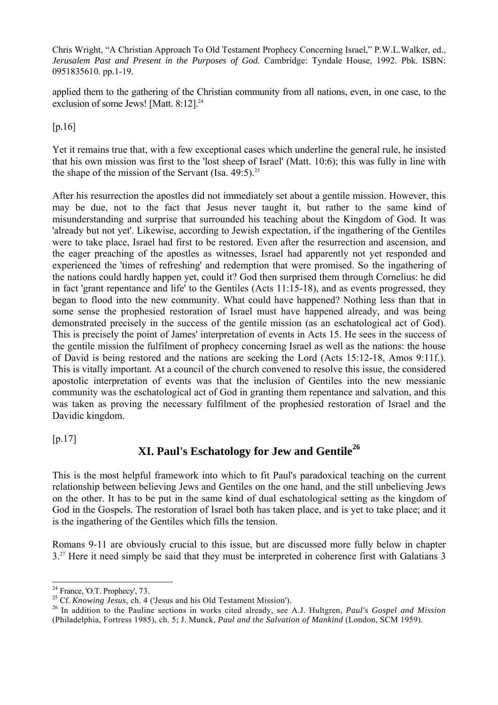applied them to the gathering of the Christian community from all nations, even, in one case, to the exclusion of some Jews! [Matt. 8:12].<sup>24</sup>

 $[p.16]$ 

Yet it remains true that, with a few exceptional cases which underline the general rule, he insisted that his own mission was first to the 'lost sheep of Israel' (Matt. 10:6); this was fully in line with the shape of the mission of the Servant (Isa.  $49:5$ ).<sup>25</sup>

After his resurrection the apostles did not immediately set about a gentile mission. However, this may be due, not to the fact that Jesus never taught it, but rather to the same kind of misunderstanding and surprise that surrounded his teaching about the Kingdom of God. It was 'already but not yet'. Likewise, according to Jewish expectation, if the ingathering of the Gentiles were to take place, Israel had first to be restored. Even after the resurrection and ascension, and the eager preaching of the apostles as witnesses, Israel had apparently not yet responded and experienced the 'times of refreshing' and redemption that were promised. So the ingathering of the nations could hardly happen yet, could it? God then surprised them through Cornelius: he did in fact 'grant repentance and life' to the Gentiles (Acts 11:15-18), and as events progressed, they began to flood into the new community. What could have happened? Nothing less than that in some sense the prophesied restoration of Israel must have happened already, and was being demonstrated precisely in the success of the gentile mission (as an eschatological act of God). This is precisely the point of James' interpretation of events in Acts 15. He sees in the success of the gentile mission the fulfilment of prophecy concerning Israel as well as the nations: the house of David is being restored and the nations are seeking the Lord (Acts 15:12-18, Amos 9:11f.). This is vitally important. At a council of the church convened to resolve this issue, the considered apostolic interpretation of events was that the inclusion of Gentiles into the new messianic community was the eschatological act of God in granting them repentance and salvation, and this was taken as proving the necessary fulfilment of the prophesied restoration of Israel and the Davidic kingdom.

 $[p.17]$ 

l

# **XI. Paul's Eschatology for Jew and Gentile<sup>26</sup>**

This is the most helpful framework into which to fit Paul's paradoxical teaching on the current relationship between believing Jews and Gentiles on the one hand, and the still unbelieving Jews on the other. It has to be put in the same kind of dual eschatological setting as the kingdom of God in the Gospels. The restoration of Israel both has taken place, and is yet to take place; and it is the ingathering of the Gentiles which fills the tension.

Romans 9-11 are obviously crucial to this issue, but are discussed more fully below in chapter 3<sup>27</sup> Here it need simply be said that they must be interpreted in coherence first with Galatians 3

 $24$  France, 'O.T. Prophecy', 73.

<sup>&</sup>lt;sup>25</sup> Cf. *Knowing Jesus*, ch. 4 ('Jesus and his Old Testament Mission').<br><sup>26</sup> In addition to the Pauline sections in works cited already, see A.J. Hultgren, *Paul's Gospel and Mission* (Philadelphia, Fortress 1985), ch. 5; J. Munck, *Paul and the Salvation of Mankind* (London, SCM 1959).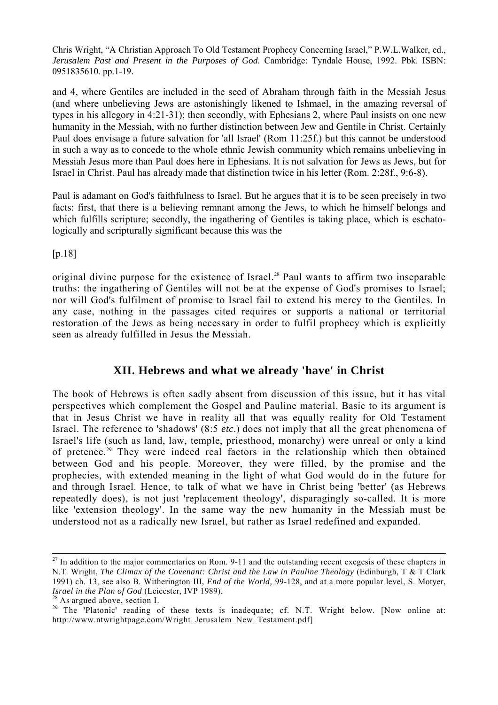and 4, where Gentiles are included in the seed of Abraham through faith in the Messiah Jesus (and where unbelieving Jews are astonishingly likened to Ishmael, in the amazing reversal of types in his allegory in 4:21-31); then secondly, with Ephesians 2, where Paul insists on one new humanity in the Messiah, with no further distinction between Jew and Gentile in Christ. Certainly Paul does envisage a future salvation for 'all Israel' (Rom 11:25f.) but this cannot be understood in such a way as to concede to the whole ethnic Jewish community which remains unbelieving in Messiah Jesus more than Paul does here in Ephesians. It is not salvation for Jews as Jews, but for Israel in Christ. Paul has already made that distinction twice in his letter (Rom. 2:28f., 9:6-8).

Paul is adamant on God's faithfulness to Israel. But he argues that it is to be seen precisely in two facts: first, that there is a believing remnant among the Jews, to which he himself belongs and which fulfills scripture; secondly, the ingathering of Gentiles is taking place, which is eschatologically and scripturally significant because this was the

[p.18]

original divine purpose for the existence of Israel.<sup>28</sup> Paul wants to affirm two inseparable truths: the ingathering of Gentiles will not be at the expense of God's promises to Israel; nor will God's fulfilment of promise to Israel fail to extend his mercy to the Gentiles. In any case, nothing in the passages cited requires or supports a national or territorial restoration of the Jews as being necessary in order to fulfil prophecy which is explicitly seen as already fulfilled in Jesus the Messiah.

## **XII. Hebrews and what we already 'have' in Christ**

The book of Hebrews is often sadly absent from discussion of this issue, but it has vital perspectives which complement the Gospel and Pauline material. Basic to its argument is that in Jesus Christ we have in reality all that was equally reality for Old Testament Israel. The reference to 'shadows' (8:5 *etc*.) does not imply that all the great phenomena of Israel's life (such as land, law, temple, priesthood, monarchy) were unreal or only a kind of pretence.29 They were indeed real factors in the relationship which then obtained between God and his people. Moreover, they were filled, by the promise and the prophecies, with extended meaning in the light of what God would do in the future for and through Israel. Hence, to talk of what we have in Christ being 'better' (as Hebrews repeatedly does), is not just 'replacement theology', disparagingly so-called. It is more like 'extension theology'. In the same way the new humanity in the Messiah must be understood not as a radically new Israel, but rather as Israel redefined and expanded.

 $27$  In addition to the major commentaries on Rom. 9-11 and the outstanding recent exegesis of these chapters in N.T. Wright, *The Climax of the Covenant: Christ and the Law in Pauline Theology* (Edinburgh, T & T Clark 1991) ch. 13, see also B. Witherington III, *End of the World,* 99-128, and at a more popular level, S. Motyer, *Israel in the Plan of God* (Leicester, IVP 1989).<br><sup>28</sup> As argued above, section I.<br><sup>29</sup> The 'Platonic' reading of these texts is inadequate; cf. N.T. Wright below. [Now online at:

[http://www.ntwrightpage.com/Wright\\_Jerusalem\\_New\\_Testament.pdf\]](http://www.ntwrightpage.com/Wright_Jerusalem_New_Testament.pdf)